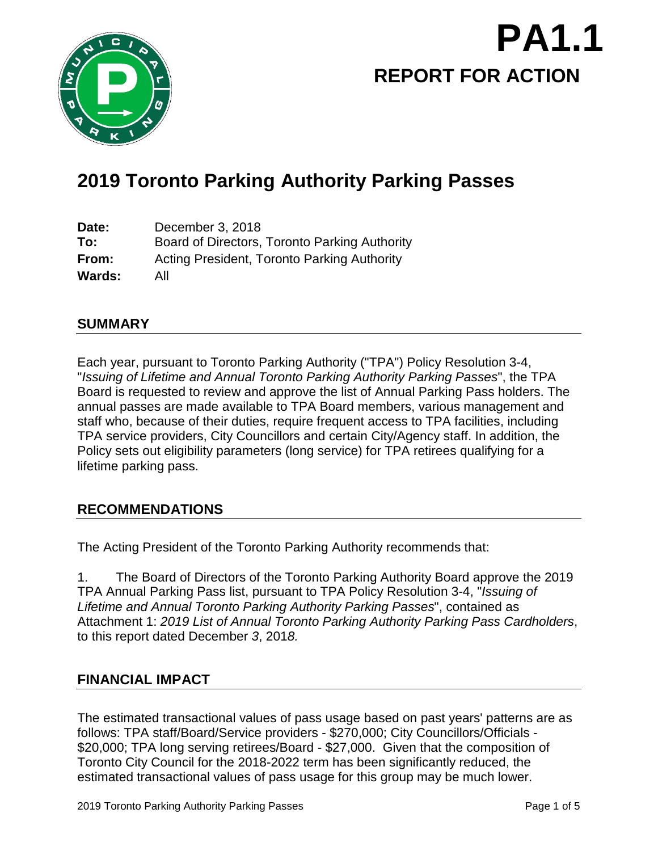

# **REPORT FOR ACTION PA1.1**

# **2019 Toronto Parking Authority Parking Passes**

**Date:** December 3, 2018 **To:** Board of Directors, Toronto Parking Authority **From:** Acting President, Toronto Parking Authority **Wards:** All

## **SUMMARY**

Each year, pursuant to Toronto Parking Authority ("TPA") Policy Resolution 3-4, "*Issuing of Lifetime and Annual Toronto Parking Authority Parking Passes*", the TPA Board is requested to review and approve the list of Annual Parking Pass holders. The annual passes are made available to TPA Board members, various management and staff who, because of their duties, require frequent access to TPA facilities, including TPA service providers, City Councillors and certain City/Agency staff. In addition, the Policy sets out eligibility parameters (long service) for TPA retirees qualifying for a lifetime parking pass.

# **RECOMMENDATIONS**

The Acting President of the Toronto Parking Authority recommends that:

1. The Board of Directors of the Toronto Parking Authority Board approve the 2019 TPA Annual Parking Pass list, pursuant to TPA Policy Resolution 3-4, "*Issuing of Lifetime and Annual Toronto Parking Authority Parking Passes*", contained as Attachment 1: *2019 List of Annual Toronto Parking Authority Parking Pass Cardholders*, to this report dated December *3*, 201*8.*

# **FINANCIAL IMPACT**

The estimated transactional values of pass usage based on past years' patterns are as follows: TPA staff/Board/Service providers - \$270,000; City Councillors/Officials - \$20,000; TPA long serving retirees/Board - \$27,000. Given that the composition of Toronto City Council for the 2018-2022 term has been significantly reduced, the estimated transactional values of pass usage for this group may be much lower.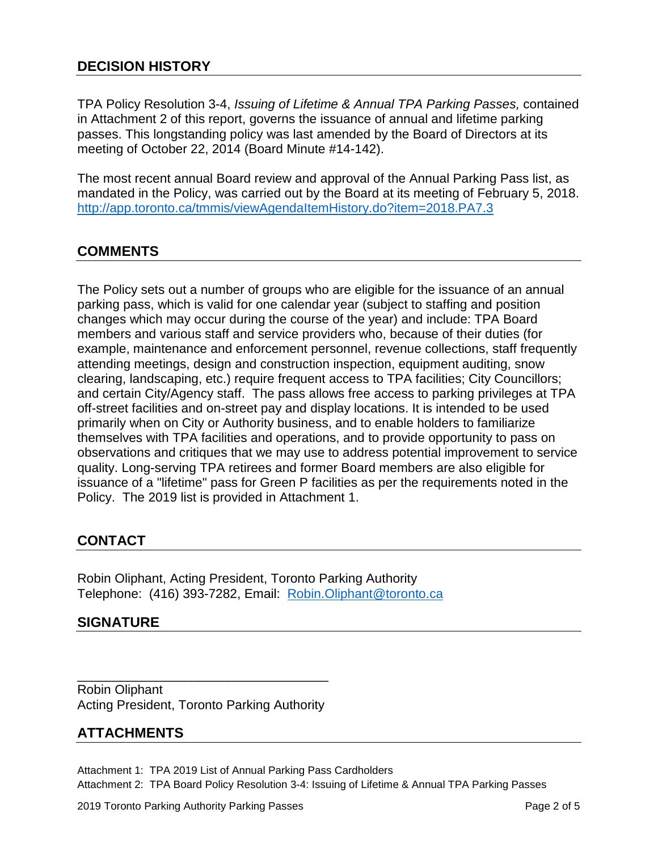TPA Policy Resolution 3-4, *Issuing of Lifetime & Annual TPA Parking Passes,* contained in Attachment 2 of this report, governs the issuance of annual and lifetime parking passes. This longstanding policy was last amended by the Board of Directors at its meeting of October 22, 2014 (Board Minute #14-142).

The most recent annual Board review and approval of the Annual Parking Pass list, as mandated in the Policy, was carried out by the Board at its meeting of February 5, 2018. <http://app.toronto.ca/tmmis/viewAgendaItemHistory.do?item=2018.PA7.3>

## **COMMENTS**

The Policy sets out a number of groups who are eligible for the issuance of an annual parking pass, which is valid for one calendar year (subject to staffing and position changes which may occur during the course of the year) and include: TPA Board members and various staff and service providers who, because of their duties (for example, maintenance and enforcement personnel, revenue collections, staff frequently attending meetings, design and construction inspection, equipment auditing, snow clearing, landscaping, etc.) require frequent access to TPA facilities; City Councillors; and certain City/Agency staff. The pass allows free access to parking privileges at TPA off-street facilities and on-street pay and display locations. It is intended to be used primarily when on City or Authority business, and to enable holders to familiarize themselves with TPA facilities and operations, and to provide opportunity to pass on observations and critiques that we may use to address potential improvement to service quality. Long-serving TPA retirees and former Board members are also eligible for issuance of a "lifetime" pass for Green P facilities as per the requirements noted in the Policy. The 2019 list is provided in Attachment 1.

# **CONTACT**

Robin Oliphant, Acting President, Toronto Parking Authority Telephone: (416) 393-7282, Email: [Robin.Oliphant@toronto.ca](mailto:Robin.Oliphant@toronto.ca) 

### **SIGNATURE**

\_\_\_\_\_\_\_\_\_\_\_\_\_\_\_\_\_\_\_\_\_\_\_\_\_\_\_\_\_\_\_\_\_\_\_ Robin Oliphant Acting President, Toronto Parking Authority

### **ATTACHMENTS**

Attachment 1: TPA 2019 List of Annual Parking Pass Cardholders Attachment 2: TPA Board Policy Resolution 3-4: Issuing of Lifetime & Annual TPA Parking Passes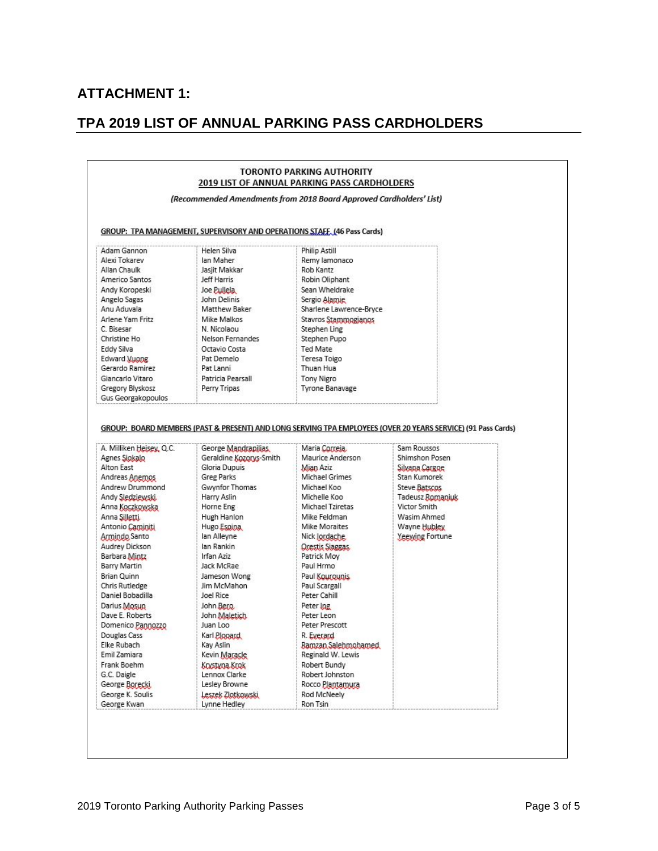# **ATTACHMENT 1:**

# **TPA 2019 LIST OF ANNUAL PARKING PASS CARDHOLDERS**

| (Recommended Amendments from 2018 Board Approved Cardholders' List)<br>GROUP: TPA MANAGEMENT, SUPERVISORY AND OPERATIONS STAFF, 146 Pass Cards)                                                                                                                                                                                                                                                                                                                                                             |                                                                                                                                                                                                                                                                                                                                                                                                                                                                     |                                                                                                                                                                                                                                                                                                                                                                                                                                                                   |                                                                                                                                                                                                                                                                                        |  |  |  |
|-------------------------------------------------------------------------------------------------------------------------------------------------------------------------------------------------------------------------------------------------------------------------------------------------------------------------------------------------------------------------------------------------------------------------------------------------------------------------------------------------------------|---------------------------------------------------------------------------------------------------------------------------------------------------------------------------------------------------------------------------------------------------------------------------------------------------------------------------------------------------------------------------------------------------------------------------------------------------------------------|-------------------------------------------------------------------------------------------------------------------------------------------------------------------------------------------------------------------------------------------------------------------------------------------------------------------------------------------------------------------------------------------------------------------------------------------------------------------|----------------------------------------------------------------------------------------------------------------------------------------------------------------------------------------------------------------------------------------------------------------------------------------|--|--|--|
|                                                                                                                                                                                                                                                                                                                                                                                                                                                                                                             |                                                                                                                                                                                                                                                                                                                                                                                                                                                                     |                                                                                                                                                                                                                                                                                                                                                                                                                                                                   |                                                                                                                                                                                                                                                                                        |  |  |  |
| A. Milliken Heisey, Q.C.<br>Agnes Siokalo<br>Alton East<br>Andreas Anemos<br>Andrew Drummond<br>Andy Sledziewski.<br>Anna Koczkowska<br>Anna Silletti.<br>Antonio Caminiti<br>Armindo Santo<br>Audrey Dickson<br>Barbara Mintz<br>Barry Martin<br><b>Brian Quinn</b><br><b>Chris Rutledge</b><br>Daniel Bobadilla<br>Darius Mosun<br>Dave E. Roberts<br>Domenico Pannozzo<br>Douglas Cass<br>Elke Rubach<br>Emil Zamiara<br>Frank Boehm<br>G.C. Daigle<br>George Borecki<br>George K. Soulis<br>George Kwan | George Mandrapilias<br>Geraldine Kozorys-Smith<br>Gloria Dupuis<br><b>Greg Parks</b><br>Gwynfor Thomas<br>Harry Aslin<br>Horne Eng<br>Hugh Hanlon<br>Hugo Espina<br>lan Alleyne<br>lan Rankin<br>Irfan Aziz<br>Jack McRae<br>Jameson Wong<br>Jim McMahon<br>Joel Rice<br>John Bero<br>John Maletich<br>Juan Loo<br>Karl <i><b>Plopard</b></i><br>Kay Aslin<br>Kevin Maracle<br>Krystyna Krok<br>Lennox Clarke<br>Lesley Browne<br>Leszek Zlotkowski<br>Lynne Hedley | Maria Correia<br>Maurice Anderson<br>Mian Aziz<br>Michael Grimes<br>Michael Koo<br>Michelle Koo<br>Michael Tziretas<br>Mike Feldman<br>Mike Moraites<br>Nick Jordache<br>Orestis Siaggas,<br>Patrick Moy<br>Paul Hrmo<br>Paul Kourounis<br>Paul Scargall<br>Peter Cahill<br>Peter Ing<br>Peter Leon<br>Peter Prescott<br>R. Everard<br>Ramzan Salehmohamed<br>Reginald W. Lewis<br>Robert Bundy<br>Robert Johnston<br>Rocco Plantamura<br>Rod McNeely<br>Ron Tsin | GROUP: BOARD MEMBERS (PAST & PRESENT) AND LONG SERVING TPA EMPLOYEES (OVER 20 YEARS SERVICE) (91 Pass Cards)<br>Sam Roussos<br>Shimshon Posen<br>Silvana Cargoe<br>Stan Kumorek<br>Steve Batscos<br>Tadeusz Romaniuk<br>Victor Smith<br>Wasim Ahmed<br>Wayne Hubley<br>Yeewing Fortune |  |  |  |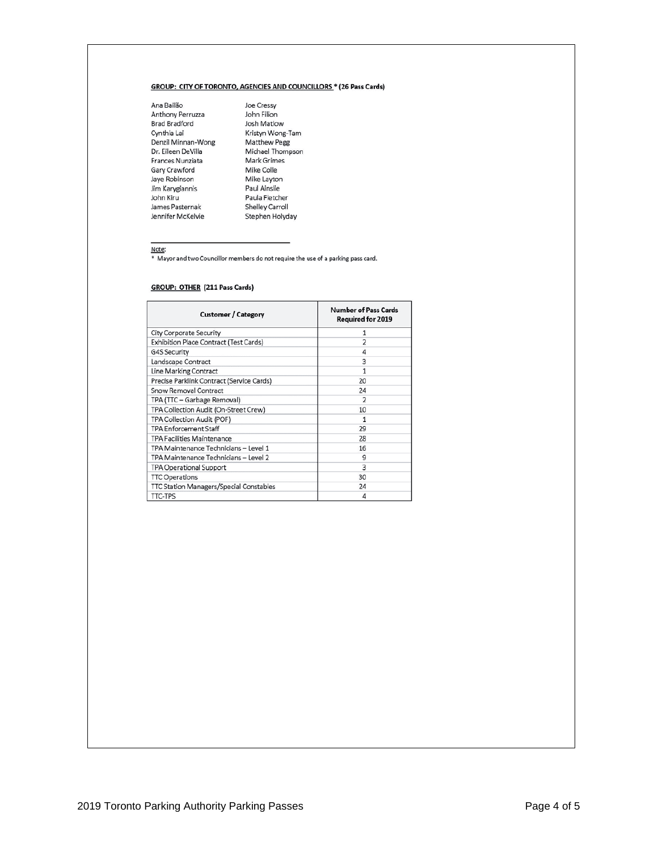#### GROUP: CITY OF TORONTO, AGENCIES AND COUNCILLORS \* (26 Pass Cards)

Ana Bailão Aria Bailao<br>Anthony Perruzza John Filion<br>Brad Bradford Josh Matlow<br>Cynthia Lai Kristyn Wong Franchischer Helley Carp Helley Carp Helley Carp Helley Carp Helley Carp Helley Carp Helley Carp Helley Carp Helley Carp Helley Carp Helley Carp Helley Carp Helley Carp Helley Carp Helley Carp Helley Carp Helley Carp John John Kiru<br>James Pasternak<br>Jennifer McKelvie

Joe Cressy Shelley Carroll Stephen Holyday

Note:

\* Mayor and two Councillor members do not require the use of a parking pass card.

#### **GROUP: OTHER (211 Pass Cards)**

| <b>Customer / Category</b>                     | <b>Number of Pass Cards</b><br><b>Required for 2019</b> |
|------------------------------------------------|---------------------------------------------------------|
| <b>City Corporate Security</b>                 |                                                         |
| Exhibition Place Contract (Test Cards)         | $\overline{2}$                                          |
| <b>G4S Security</b>                            | 4                                                       |
| Landscape Contract                             | 3                                                       |
| Line Marking Contract                          |                                                         |
| Precise Parklink Contract (Service Cards)      | 20                                                      |
| Snow Removal Contract                          | 24                                                      |
| TPA (TTC - Garbage Removal)                    | $\mathcal{P}$                                           |
| TPA Collection Audit (On-Street Crew)          | 10                                                      |
| TPA Collection Audit (POF)                     | 1                                                       |
| <b>TPA Enforcement Staff</b>                   | 29                                                      |
| <b>TPA Facilities Maintenance</b>              | 28                                                      |
| TPA Maintenance Technicians - Level 1          | 16                                                      |
| TPA Maintenance Technicians - Level 2          | 9                                                       |
| <b>TPA Operational Support</b>                 | 3                                                       |
| <b>TTC Operations</b>                          | 30                                                      |
| <b>TTC Station Managers/Special Constables</b> | 24                                                      |
| <b>TTC-TPS</b>                                 | Λ                                                       |